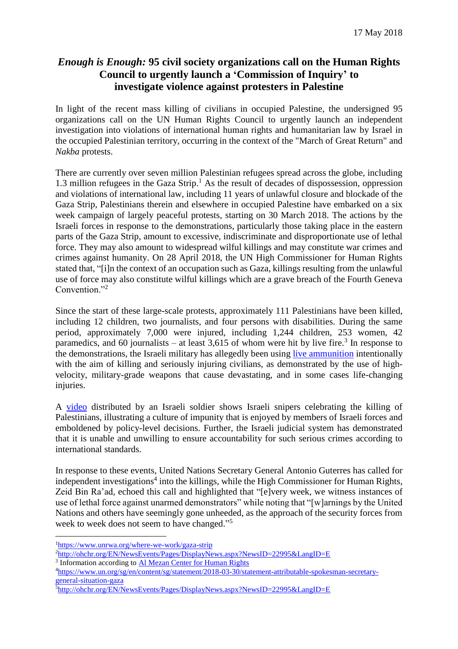## *Enough is Enough:* **95 civil society organizations call on the Human Rights Council to urgently launch a 'Commission of Inquiry' to investigate violence against protesters in Palestine**

In light of the recent mass killing of civilians in occupied Palestine, the undersigned 95 organizations call on the UN Human Rights Council to urgently launch an independent investigation into violations of international human rights and humanitarian law by Israel in the occupied Palestinian territory, occurring in the context of the "March of Great Return" and *Nakba* protests.

There are currently over seven million Palestinian refugees spread across the globe, including 1.3 million refugees in the Gaza Strip.<sup>1</sup> As the result of decades of dispossession, oppression and violations of international law, including 11 years of unlawful closure and blockade of the Gaza Strip, Palestinians therein and elsewhere in occupied Palestine have embarked on a six week campaign of largely peaceful protests, starting on 30 March 2018. The actions by the Israeli forces in response to the demonstrations, particularly those taking place in the eastern parts of the Gaza Strip, amount to excessive, indiscriminate and disproportionate use of lethal force. They may also amount to widespread wilful killings and may constitute war crimes and crimes against humanity. On 28 April 2018, the UN High Commissioner for Human Rights stated that, "[i]n the context of an occupation such as Gaza, killings resulting from the unlawful use of force may also constitute wilful killings which are a grave breach of the Fourth Geneva Convention."<sup>2</sup>

Since the start of these large-scale protests, approximately 111 Palestinians have been killed, including 12 children, two journalists, and four persons with disabilities. During the same period, approximately 7,000 were injured, including 1,244 children, 253 women, 42 paramedics, and 60 journalists – at least  $3,615$  of whom were hit by live fire.<sup>3</sup> In response to the demonstrations, the Israeli military has allegedly been using [live ammunition](https://www.amnesty.org/en/latest/news/2018/04/israel-arms-embargo-needed-as-military-unlawfully-kills-and-maims-gaza-protesters/) intentionally with the aim of killing and seriously injuring civilians, as demonstrated by the use of highvelocity, military-grade weapons that cause devastating, and in some cases life-changing injuries.

A [video](https://www.youtube.com/watch?v=olSBiC-kDpA) distributed by an Israeli soldier shows Israeli snipers celebrating the killing of Palestinians, illustrating a culture of impunity that is enjoyed by members of Israeli forces and emboldened by policy-level decisions. Further, the Israeli judicial system has demonstrated that it is unable and unwilling to ensure accountability for such serious crimes according to international standards.

In response to these events, United Nations Secretary General Antonio Guterres has called for independent investigations<sup>4</sup> into the killings, while the High Commissioner for Human Rights, Zeid Bin Ra'ad, echoed this call and highlighted that "[e]very week, we witness instances of use of lethal force against unarmed demonstrators" while noting that "[w]arnings by the United Nations and others have seemingly gone unheeded, as the approach of the security forces from week to week does not seem to have changed."<sup>5</sup>

 $\overline{a}$ 

4[https://www.un.org/sg/en/content/sg/statement/2018-03-30/statement-attributable-spokesman-secretary](https://www.un.org/sg/en/content/sg/statement/2018-03-30/statement-attributable-spokesman-secretary-general-situation-gaza)[general-situation-gaza](https://www.un.org/sg/en/content/sg/statement/2018-03-30/statement-attributable-spokesman-secretary-general-situation-gaza)

<sup>1</sup><https://www.unrwa.org/where-we-work/gaza-strip>

<sup>&</sup>lt;sup>2</sup><http://ohchr.org/EN/NewsEvents/Pages/DisplayNews.aspx?NewsID=22995&LangID=E>

<sup>&</sup>lt;sup>3</sup> Information according to **Al [Mezan Center for Human Rights](http://www.mezan.org/en/)** 

<sup>5</sup><http://ohchr.org/EN/NewsEvents/Pages/DisplayNews.aspx?NewsID=22995&LangID=E>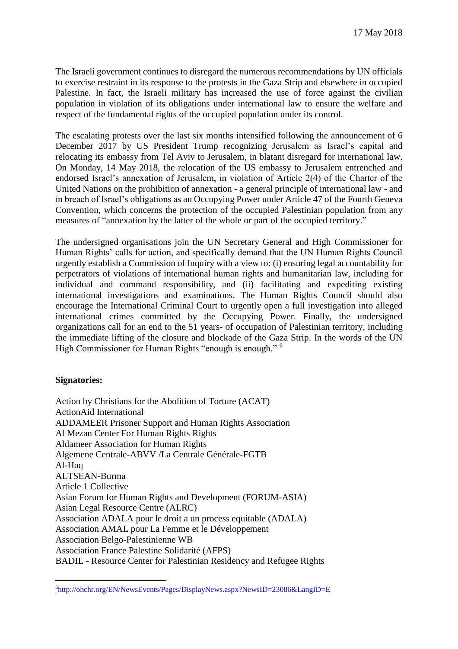The Israeli government continues to disregard the numerous recommendations by UN officials to exercise restraint in its response to the protests in the Gaza Strip and elsewhere in occupied Palestine. In fact, the Israeli military has increased the use of force against the civilian population in violation of its obligations under international law to ensure the welfare and respect of the fundamental rights of the occupied population under its control.

The escalating protests over the last six months intensified following the [announcement](http://alhaq.org/advocacy/targets/third-party-states/1156-al-haq-condemns-united-states-recognition-of-jerusalem-in-the-occupied-state-of-palestine-as-israels-capital) of 6 December 2017 by US President Trump recognizing Jerusalem as Israel's capital and relocating its embassy from Tel Aviv to Jerusalem, in blatant disregard for international law. On Monday, 14 May 2018, the relocation of the US embassy to Jerusalem entrenched and endorsed Israel's annexation of Jerusalem, in violation of Article 2(4) of the Charter of the United Nations on the prohibition of annexation - a general principle of international law - and in breach of Israel's obligations as an Occupying Power under Article 47 of the Fourth Geneva Convention, which concerns the protection of the occupied Palestinian population from any measures of "annexation by the latter of the whole or part of the occupied territory."

The undersigned organisations join the UN Secretary General and High Commissioner for Human Rights' calls for action, and specifically demand that the UN Human Rights Council urgently establish a Commission of Inquiry with a view to: (i) ensuring legal accountability for perpetrators of violations of international human rights and humanitarian law, including for individual and command responsibility, and (ii) facilitating and expediting existing international investigations and examinations. The Human Rights Council should also encourage the International Criminal Court to urgently open a full investigation into alleged international crimes committed by the Occupying Power. Finally, the undersigned organizations call for an end to the 51 years- of occupation of Palestinian territory, including the immediate lifting of the closure and blockade of the Gaza Strip. In the words of the UN High Commissioner for Human Rights "enough is enough." <sup>6</sup>

## **Signatories:**

Action by Christians for the Abolition of Torture (ACAT) ActionAid International ADDAMEER Prisoner Support and Human Rights Association Al Mezan Center For Human Rights Rights Aldameer Association for Human Rights Algemene Centrale-ABVV /La Centrale Générale-FGTB Al-Haq ALTSEAN-Burma Article 1 Collective Asian Forum for Human Rights and Development (FORUM-ASIA) Asian Legal Resource Centre (ALRC) Association ADALA pour le droit a un process equitable (ADALA) Association AMAL pour La Femme et le Développement Association Belgo-Palestinienne WB Association France Palestine Solidarité (AFPS) BADIL - Resource Center for Palestinian Residency and Refugee Rights

 $\overline{a}$ 6<http://ohchr.org/EN/NewsEvents/Pages/DisplayNews.aspx?NewsID=23086&LangID=E>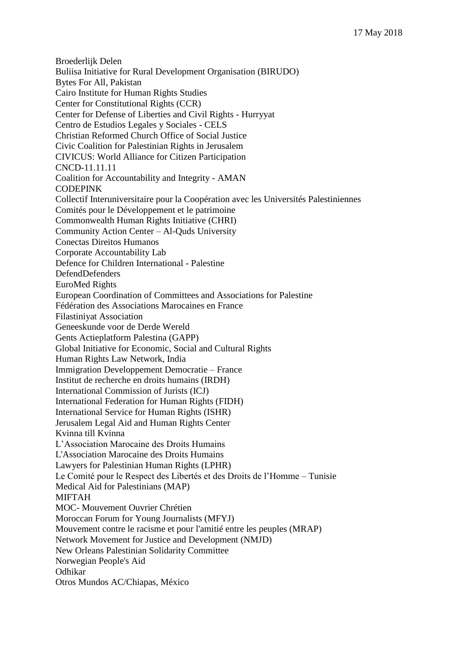Broederlijk Delen Buliisa Initiative for Rural Development Organisation (BIRUDO) Bytes For All, Pakistan Cairo Institute for Human Rights Studies Center for Constitutional Rights (CCR) Center for Defense of Liberties and Civil Rights - Hurryyat Centro de Estudios Legales y Sociales - CELS Christian Reformed Church Office of Social Justice Civic Coalition for Palestinian Rights in Jerusalem CIVICUS: World Alliance for Citizen Participation CNCD-11.11.11 Coalition for Accountability and Integrity - AMAN CODEPINK Collectif Interuniversitaire pour la Coopération avec les Universités Palestiniennes Comités pour le Développement et le patrimoine Commonwealth Human Rights Initiative (CHRI) Community Action Center – Al-Quds University Conectas Direitos Humanos Corporate Accountability Lab Defence for Children International - Palestine DefendDefenders EuroMed Rights European Coordination of Committees and Associations for Palestine Fédération des Associations Marocaines en France Filastiniyat Association Geneeskunde voor de Derde Wereld Gents Actieplatform Palestina (GAPP) Global Initiative for Economic, Social and Cultural Rights Human Rights Law Network, India Immigration Developpement Democratie – France Institut de recherche en droits humains (IRDH) International Commission of Jurists (ICJ) International Federation for Human Rights (FIDH) International Service for Human Rights (ISHR) Jerusalem Legal Aid and Human Rights Center Kvinna till Kvinna L'Association Marocaine des Droits Humains L'Association Marocaine des Droits Humains Lawyers for Palestinian Human Rights (LPHR) Le Comité pour le Respect des Libertés et des Droits de l'Homme – Tunisie Medical Aid for Palestinians (MAP) MIFTAH MOC- Mouvement Ouvrier Chrétien Moroccan Forum for Young Journalists (MFYJ) Mouvement contre le racisme et pour l'amitié entre les peuples (MRAP) Network Movement for Justice and Development (NMJD) New Orleans Palestinian Solidarity Committee Norwegian People's Aid Odhikar Otros Mundos AC/Chiapas, México